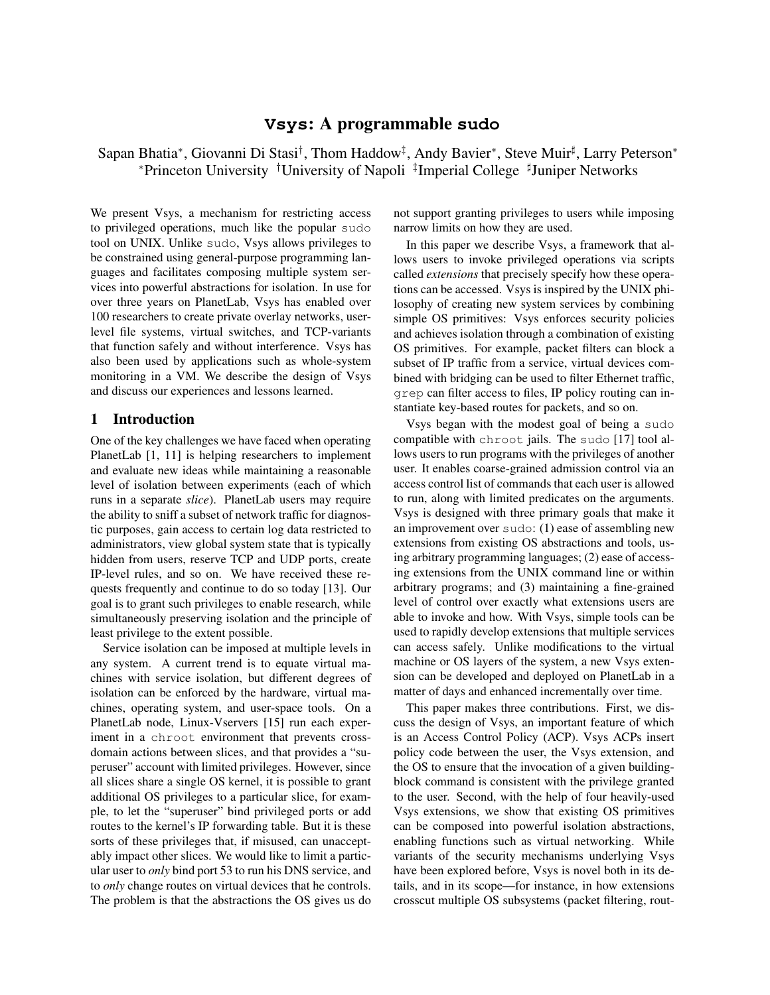# **Vsys**: A programmable **sudo**

Sapan Bhatia\*, Giovanni Di Stasi<sup>†</sup>, Thom Haddow<sup>‡</sup>, Andy Bavier\*, Steve Muir<sup>‡</sup>, Larry Peterson\* <sup>∗</sup>Princeton University †University of Napoli ‡ Imperial College <sup>♯</sup> Juniper Networks

We present Vsys, a mechanism for restricting access to privileged operations, much like the popular sudo tool on UNIX. Unlike sudo, Vsys allows privileges to be constrained using general-purpose programming languages and facilitates composing multiple system services into powerful abstractions for isolation. In use for over three years on PlanetLab, Vsys has enabled over 100 researchers to create private overlay networks, userlevel file systems, virtual switches, and TCP-variants that function safely and without interference. Vsys has also been used by applications such as whole-system monitoring in a VM. We describe the design of Vsys and discuss our experiences and lessons learned.

## 1 Introduction

One of the key challenges we have faced when operating PlanetLab [1, 11] is helping researchers to implement and evaluate new ideas while maintaining a reasonable level of isolation between experiments (each of which runs in a separate *slice*). PlanetLab users may require the ability to sniff a subset of network traffic for diagnostic purposes, gain access to certain log data restricted to administrators, view global system state that is typically hidden from users, reserve TCP and UDP ports, create IP-level rules, and so on. We have received these requests frequently and continue to do so today [13]. Our goal is to grant such privileges to enable research, while simultaneously preserving isolation and the principle of least privilege to the extent possible.

Service isolation can be imposed at multiple levels in any system. A current trend is to equate virtual machines with service isolation, but different degrees of isolation can be enforced by the hardware, virtual machines, operating system, and user-space tools. On a PlanetLab node, Linux-Vservers [15] run each experiment in a chroot environment that prevents crossdomain actions between slices, and that provides a "superuser" account with limited privileges. However, since all slices share a single OS kernel, it is possible to grant additional OS privileges to a particular slice, for example, to let the "superuser" bind privileged ports or add routes to the kernel's IP forwarding table. But it is these sorts of these privileges that, if misused, can unacceptably impact other slices. We would like to limit a particular user to *only* bind port 53 to run his DNS service, and to *only* change routes on virtual devices that he controls. The problem is that the abstractions the OS gives us do not support granting privileges to users while imposing narrow limits on how they are used.

In this paper we describe Vsys, a framework that allows users to invoke privileged operations via scripts called *extensions* that precisely specify how these operations can be accessed. Vsys is inspired by the UNIX philosophy of creating new system services by combining simple OS primitives: Vsys enforces security policies and achieves isolation through a combination of existing OS primitives. For example, packet filters can block a subset of IP traffic from a service, virtual devices combined with bridging can be used to filter Ethernet traffic, grep can filter access to files, IP policy routing can instantiate key-based routes for packets, and so on.

Vsys began with the modest goal of being a sudo compatible with chroot jails. The sudo [17] tool allows users to run programs with the privileges of another user. It enables coarse-grained admission control via an access control list of commands that each user is allowed to run, along with limited predicates on the arguments. Vsys is designed with three primary goals that make it an improvement over sudo: (1) ease of assembling new extensions from existing OS abstractions and tools, using arbitrary programming languages; (2) ease of accessing extensions from the UNIX command line or within arbitrary programs; and (3) maintaining a fine-grained level of control over exactly what extensions users are able to invoke and how. With Vsys, simple tools can be used to rapidly develop extensions that multiple services can access safely. Unlike modifications to the virtual machine or OS layers of the system, a new Vsys extension can be developed and deployed on PlanetLab in a matter of days and enhanced incrementally over time.

This paper makes three contributions. First, we discuss the design of Vsys, an important feature of which is an Access Control Policy (ACP). Vsys ACPs insert policy code between the user, the Vsys extension, and the OS to ensure that the invocation of a given buildingblock command is consistent with the privilege granted to the user. Second, with the help of four heavily-used Vsys extensions, we show that existing OS primitives can be composed into powerful isolation abstractions, enabling functions such as virtual networking. While variants of the security mechanisms underlying Vsys have been explored before, Vsys is novel both in its details, and in its scope—for instance, in how extensions crosscut multiple OS subsystems (packet filtering, rout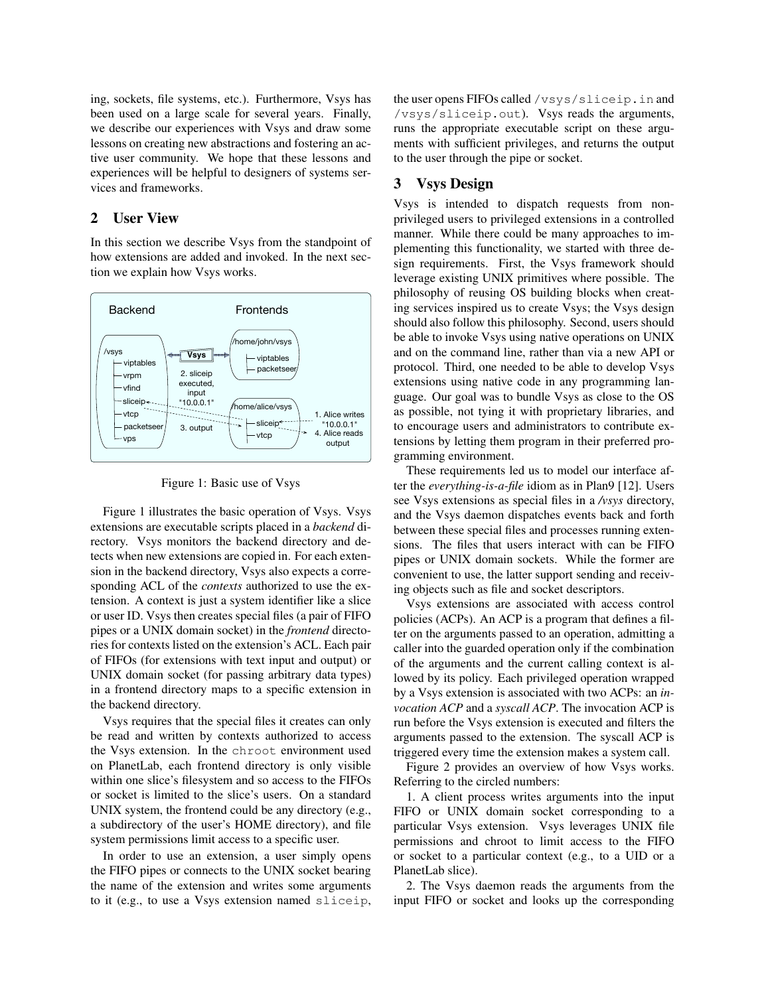ing, sockets, file systems, etc.). Furthermore, Vsys has been used on a large scale for several years. Finally, we describe our experiences with Vsys and draw some lessons on creating new abstractions and fostering an active user community. We hope that these lessons and experiences will be helpful to designers of systems services and frameworks.

### 2 User View

In this section we describe Vsys from the standpoint of how extensions are added and invoked. In the next section we explain how Vsys works.



Figure 1: Basic use of Vsys

Figure 1 illustrates the basic operation of Vsys. Vsys extensions are executable scripts placed in a *backend* directory. Vsys monitors the backend directory and detects when new extensions are copied in. For each extension in the backend directory, Vsys also expects a corresponding ACL of the *contexts* authorized to use the extension. A context is just a system identifier like a slice or user ID. Vsys then creates special files (a pair of FIFO pipes or a UNIX domain socket) in the *frontend* directories for contexts listed on the extension's ACL. Each pair of FIFOs (for extensions with text input and output) or UNIX domain socket (for passing arbitrary data types) in a frontend directory maps to a specific extension in the backend directory.

Vsys requires that the special files it creates can only be read and written by contexts authorized to access the Vsys extension. In the chroot environment used on PlanetLab, each frontend directory is only visible within one slice's filesystem and so access to the FIFOs or socket is limited to the slice's users. On a standard UNIX system, the frontend could be any directory (e.g., a subdirectory of the user's HOME directory), and file system permissions limit access to a specific user.

In order to use an extension, a user simply opens the FIFO pipes or connects to the UNIX socket bearing the name of the extension and writes some arguments to it (e.g., to use a Vsys extension named sliceip, the user opens FIFOs called /vsys/sliceip.in and /vsys/sliceip.out). Vsys reads the arguments, runs the appropriate executable script on these arguments with sufficient privileges, and returns the output to the user through the pipe or socket.

# 3 Vsys Design

Vsys is intended to dispatch requests from nonprivileged users to privileged extensions in a controlled manner. While there could be many approaches to implementing this functionality, we started with three design requirements. First, the Vsys framework should leverage existing UNIX primitives where possible. The philosophy of reusing OS building blocks when creating services inspired us to create Vsys; the Vsys design should also follow this philosophy. Second, users should be able to invoke Vsys using native operations on UNIX and on the command line, rather than via a new API or protocol. Third, one needed to be able to develop Vsys extensions using native code in any programming language. Our goal was to bundle Vsys as close to the OS as possible, not tying it with proprietary libraries, and to encourage users and administrators to contribute extensions by letting them program in their preferred programming environment.

These requirements led us to model our interface after the *everything-is-a-file* idiom as in Plan9 [12]. Users see Vsys extensions as special files in a */vsys* directory, and the Vsys daemon dispatches events back and forth between these special files and processes running extensions. The files that users interact with can be FIFO pipes or UNIX domain sockets. While the former are convenient to use, the latter support sending and receiving objects such as file and socket descriptors.

Vsys extensions are associated with access control policies (ACPs). An ACP is a program that defines a filter on the arguments passed to an operation, admitting a caller into the guarded operation only if the combination of the arguments and the current calling context is allowed by its policy. Each privileged operation wrapped by a Vsys extension is associated with two ACPs: an *invocation ACP* and a *syscall ACP*. The invocation ACP is run before the Vsys extension is executed and filters the arguments passed to the extension. The syscall ACP is triggered every time the extension makes a system call.

Figure 2 provides an overview of how Vsys works. Referring to the circled numbers:

1. A client process writes arguments into the input FIFO or UNIX domain socket corresponding to a particular Vsys extension. Vsys leverages UNIX file permissions and chroot to limit access to the FIFO or socket to a particular context (e.g., to a UID or a PlanetLab slice).

2. The Vsys daemon reads the arguments from the input FIFO or socket and looks up the corresponding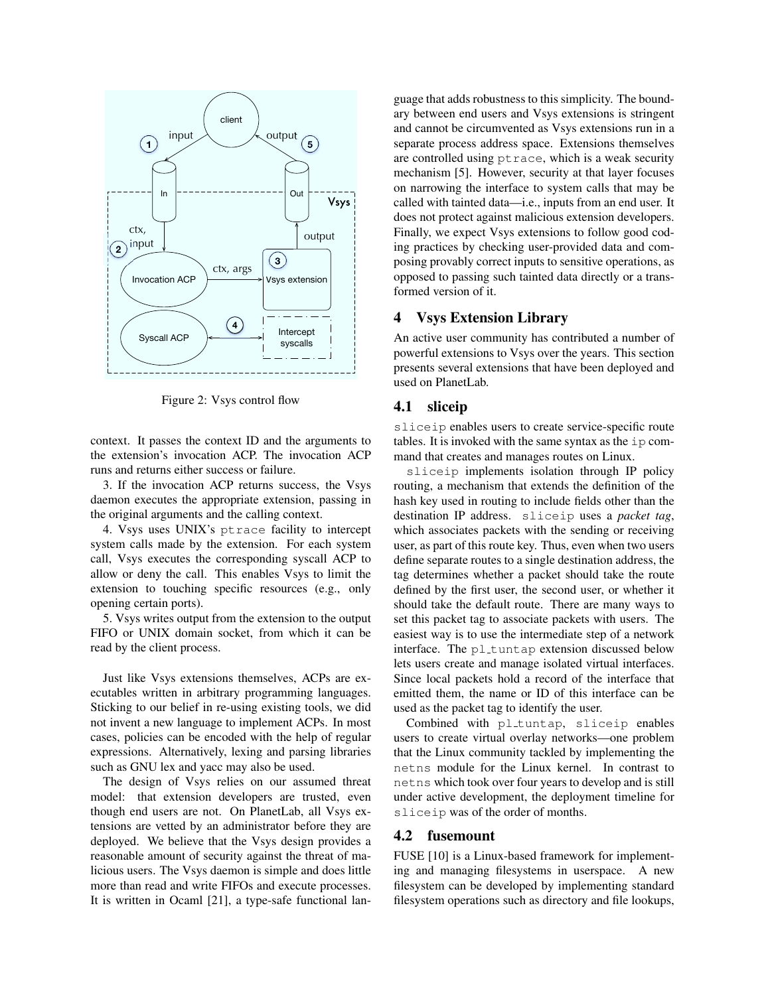

Figure 2: Vsys control flow

context. It passes the context ID and the arguments to the extension's invocation ACP. The invocation ACP runs and returns either success or failure.

3. If the invocation ACP returns success, the Vsys daemon executes the appropriate extension, passing in the original arguments and the calling context.

4. Vsys uses UNIX's ptrace facility to intercept system calls made by the extension. For each system call, Vsys executes the corresponding syscall ACP to allow or deny the call. This enables Vsys to limit the extension to touching specific resources (e.g., only opening certain ports).

5. Vsys writes output from the extension to the output FIFO or UNIX domain socket, from which it can be read by the client process.

Just like Vsys extensions themselves, ACPs are executables written in arbitrary programming languages. Sticking to our belief in re-using existing tools, we did not invent a new language to implement ACPs. In most cases, policies can be encoded with the help of regular expressions. Alternatively, lexing and parsing libraries such as GNU lex and yacc may also be used.

The design of Vsys relies on our assumed threat model: that extension developers are trusted, even though end users are not. On PlanetLab, all Vsys extensions are vetted by an administrator before they are deployed. We believe that the Vsys design provides a reasonable amount of security against the threat of malicious users. The Vsys daemon is simple and does little more than read and write FIFOs and execute processes. It is written in Ocaml [21], a type-safe functional language that adds robustness to this simplicity. The boundary between end users and Vsys extensions is stringent and cannot be circumvented as Vsys extensions run in a separate process address space. Extensions themselves are controlled using ptrace, which is a weak security mechanism [5]. However, security at that layer focuses on narrowing the interface to system calls that may be called with tainted data—i.e., inputs from an end user. It does not protect against malicious extension developers. Finally, we expect Vsys extensions to follow good coding practices by checking user-provided data and composing provably correct inputs to sensitive operations, as opposed to passing such tainted data directly or a transformed version of it.

## 4 Vsys Extension Library

An active user community has contributed a number of powerful extensions to Vsys over the years. This section presents several extensions that have been deployed and used on PlanetLab.

# 4.1 sliceip

sliceip enables users to create service-specific route tables. It is invoked with the same syntax as the ip command that creates and manages routes on Linux.

sliceip implements isolation through IP policy routing, a mechanism that extends the definition of the hash key used in routing to include fields other than the destination IP address. sliceip uses a *packet tag*, which associates packets with the sending or receiving user, as part of this route key. Thus, even when two users define separate routes to a single destination address, the tag determines whether a packet should take the route defined by the first user, the second user, or whether it should take the default route. There are many ways to set this packet tag to associate packets with users. The easiest way is to use the intermediate step of a network interface. The pl\_tuntap extension discussed below lets users create and manage isolated virtual interfaces. Since local packets hold a record of the interface that emitted them, the name or ID of this interface can be used as the packet tag to identify the user.

Combined with pl\_tuntap, sliceip enables users to create virtual overlay networks—one problem that the Linux community tackled by implementing the netns module for the Linux kernel. In contrast to netns which took over four years to develop and is still under active development, the deployment timeline for sliceip was of the order of months.

## 4.2 fusemount

FUSE [10] is a Linux-based framework for implementing and managing filesystems in userspace. A new filesystem can be developed by implementing standard filesystem operations such as directory and file lookups,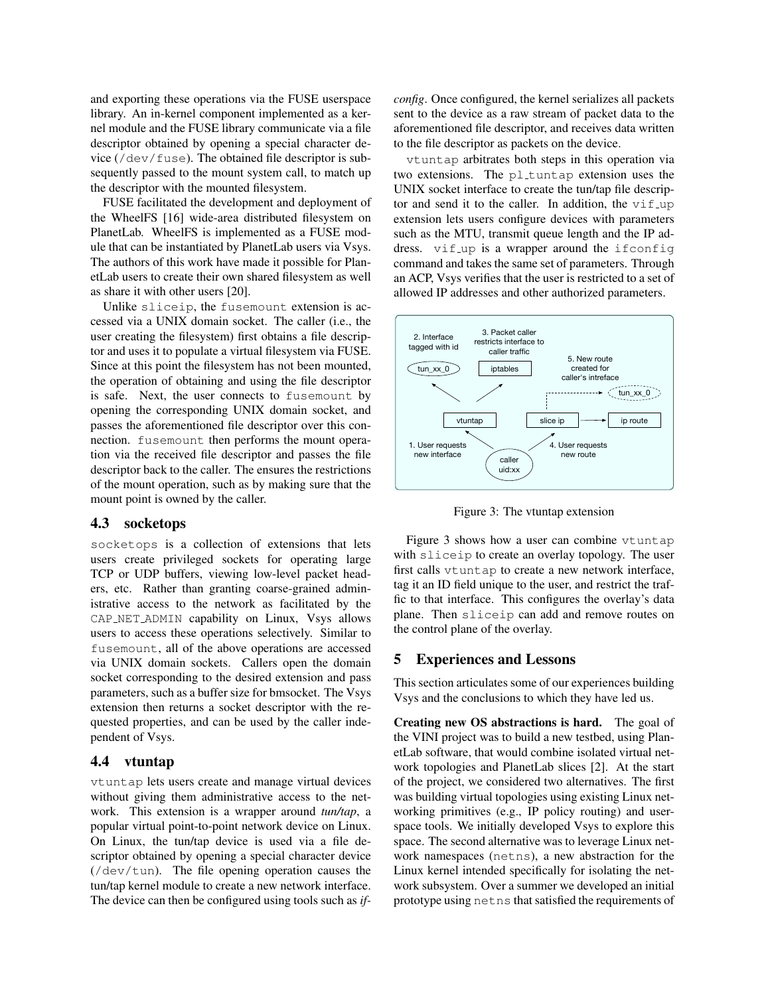and exporting these operations via the FUSE userspace library. An in-kernel component implemented as a kernel module and the FUSE library communicate via a file descriptor obtained by opening a special character device (/dev/fuse). The obtained file descriptor is subsequently passed to the mount system call, to match up the descriptor with the mounted filesystem.

FUSE facilitated the development and deployment of the WheelFS [16] wide-area distributed filesystem on PlanetLab. WheelFS is implemented as a FUSE module that can be instantiated by PlanetLab users via Vsys. The authors of this work have made it possible for PlanetLab users to create their own shared filesystem as well as share it with other users [20].

Unlike sliceip, the fusemount extension is accessed via a UNIX domain socket. The caller (i.e., the user creating the filesystem) first obtains a file descriptor and uses it to populate a virtual filesystem via FUSE. Since at this point the filesystem has not been mounted, the operation of obtaining and using the file descriptor is safe. Next, the user connects to fusemount by opening the corresponding UNIX domain socket, and passes the aforementioned file descriptor over this connection. fusemount then performs the mount operation via the received file descriptor and passes the file descriptor back to the caller. The ensures the restrictions of the mount operation, such as by making sure that the mount point is owned by the caller.

#### 4.3 socketops

socketops is a collection of extensions that lets users create privileged sockets for operating large TCP or UDP buffers, viewing low-level packet headers, etc. Rather than granting coarse-grained administrative access to the network as facilitated by the CAP NET ADMIN capability on Linux, Vsys allows users to access these operations selectively. Similar to fusemount, all of the above operations are accessed via UNIX domain sockets. Callers open the domain socket corresponding to the desired extension and pass parameters, such as a buffer size for bmsocket. The Vsys extension then returns a socket descriptor with the requested properties, and can be used by the caller independent of Vsys.

#### 4.4 vtuntap

vtuntap lets users create and manage virtual devices without giving them administrative access to the network. This extension is a wrapper around *tun/tap*, a popular virtual point-to-point network device on Linux. On Linux, the tun/tap device is used via a file descriptor obtained by opening a special character device (/dev/tun). The file opening operation causes the tun/tap kernel module to create a new network interface. The device can then be configured using tools such as *if-* *config*. Once configured, the kernel serializes all packets sent to the device as a raw stream of packet data to the aforementioned file descriptor, and receives data written to the file descriptor as packets on the device.

vtuntap arbitrates both steps in this operation via two extensions. The  $pl$ -tuntap extension uses the UNIX socket interface to create the tun/tap file descriptor and send it to the caller. In addition, the  $\forall$ if up extension lets users configure devices with parameters such as the MTU, transmit queue length and the IP address. vif up is a wrapper around the ifconfig command and takes the same set of parameters. Through an ACP, Vsys verifies that the user is restricted to a set of allowed IP addresses and other authorized parameters.



Figure 3: The vtuntap extension

Figure 3 shows how a user can combine vtuntap with sliceip to create an overlay topology. The user first calls vtuntap to create a new network interface, tag it an ID field unique to the user, and restrict the traffic to that interface. This configures the overlay's data plane. Then sliceip can add and remove routes on the control plane of the overlay.

#### 5 Experiences and Lessons

This section articulates some of our experiences building Vsys and the conclusions to which they have led us.

Creating new OS abstractions is hard. The goal of the VINI project was to build a new testbed, using PlanetLab software, that would combine isolated virtual network topologies and PlanetLab slices [2]. At the start of the project, we considered two alternatives. The first was building virtual topologies using existing Linux networking primitives (e.g., IP policy routing) and userspace tools. We initially developed Vsys to explore this space. The second alternative was to leverage Linux network namespaces (netns), a new abstraction for the Linux kernel intended specifically for isolating the network subsystem. Over a summer we developed an initial prototype using netns that satisfied the requirements of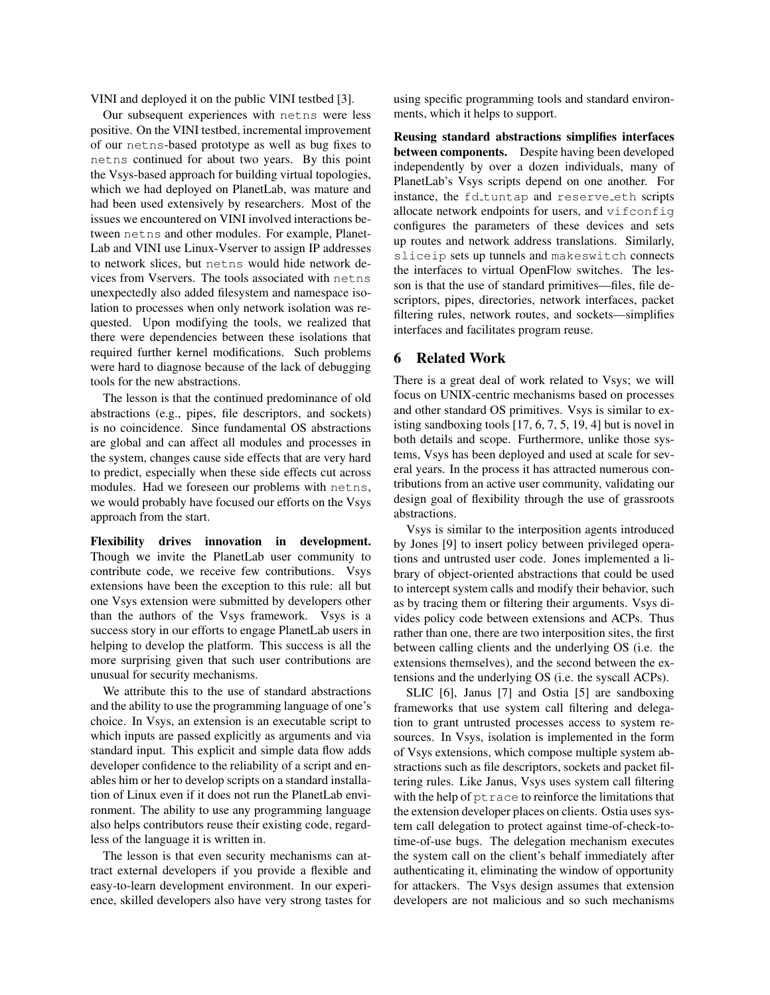VINI and deployed it on the public VINI testbed [3].

Our subsequent experiences with netns were less positive. On the VINI testbed, incremental improvement of our netns-based prototype as well as bug fixes to netns continued for about two years. By this point the Vsys-based approach for building virtual topologies, which we had deployed on PlanetLab, was mature and had been used extensively by researchers. Most of the issues we encountered on VINI involved interactions between netns and other modules. For example, Planet-Lab and VINI use Linux-Vserver to assign IP addresses to network slices, but netns would hide network devices from Vservers. The tools associated with netns unexpectedly also added filesystem and namespace isolation to processes when only network isolation was requested. Upon modifying the tools, we realized that there were dependencies between these isolations that required further kernel modifications. Such problems were hard to diagnose because of the lack of debugging tools for the new abstractions.

The lesson is that the continued predominance of old abstractions (e.g., pipes, file descriptors, and sockets) is no coincidence. Since fundamental OS abstractions are global and can affect all modules and processes in the system, changes cause side effects that are very hard to predict, especially when these side effects cut across modules. Had we foreseen our problems with netns, we would probably have focused our efforts on the Vsys approach from the start.

Flexibility drives innovation in development. Though we invite the PlanetLab user community to contribute code, we receive few contributions. Vsys extensions have been the exception to this rule: all but one Vsys extension were submitted by developers other than the authors of the Vsys framework. Vsys is a success story in our efforts to engage PlanetLab users in helping to develop the platform. This success is all the more surprising given that such user contributions are unusual for security mechanisms.

We attribute this to the use of standard abstractions and the ability to use the programming language of one's choice. In Vsys, an extension is an executable script to which inputs are passed explicitly as arguments and via standard input. This explicit and simple data flow adds developer confidence to the reliability of a script and enables him or her to develop scripts on a standard installation of Linux even if it does not run the PlanetLab environment. The ability to use any programming language also helps contributors reuse their existing code, regardless of the language it is written in.

The lesson is that even security mechanisms can attract external developers if you provide a flexible and easy-to-learn development environment. In our experience, skilled developers also have very strong tastes for using specific programming tools and standard environments, which it helps to support.

Reusing standard abstractions simplifies interfaces between components. Despite having been developed independently by over a dozen individuals, many of PlanetLab's Vsys scripts depend on one another. For instance, the fd\_tuntap and reserve\_eth scripts allocate network endpoints for users, and vifconfig configures the parameters of these devices and sets up routes and network address translations. Similarly, sliceip sets up tunnels and makeswitch connects the interfaces to virtual OpenFlow switches. The lesson is that the use of standard primitives—files, file descriptors, pipes, directories, network interfaces, packet filtering rules, network routes, and sockets—simplifies interfaces and facilitates program reuse.

# 6 Related Work

There is a great deal of work related to Vsys; we will focus on UNIX-centric mechanisms based on processes and other standard OS primitives. Vsys is similar to existing sandboxing tools [17, 6, 7, 5, 19, 4] but is novel in both details and scope. Furthermore, unlike those systems, Vsys has been deployed and used at scale for several years. In the process it has attracted numerous contributions from an active user community, validating our design goal of flexibility through the use of grassroots abstractions.

Vsys is similar to the interposition agents introduced by Jones [9] to insert policy between privileged operations and untrusted user code. Jones implemented a library of object-oriented abstractions that could be used to intercept system calls and modify their behavior, such as by tracing them or filtering their arguments. Vsys divides policy code between extensions and ACPs. Thus rather than one, there are two interposition sites, the first between calling clients and the underlying OS (i.e. the extensions themselves), and the second between the extensions and the underlying OS (i.e. the syscall ACPs).

SLIC [6], Janus [7] and Ostia [5] are sandboxing frameworks that use system call filtering and delegation to grant untrusted processes access to system resources. In Vsys, isolation is implemented in the form of Vsys extensions, which compose multiple system abstractions such as file descriptors, sockets and packet filtering rules. Like Janus, Vsys uses system call filtering with the help of ptrace to reinforce the limitations that the extension developer places on clients. Ostia uses system call delegation to protect against time-of-check-totime-of-use bugs. The delegation mechanism executes the system call on the client's behalf immediately after authenticating it, eliminating the window of opportunity for attackers. The Vsys design assumes that extension developers are not malicious and so such mechanisms